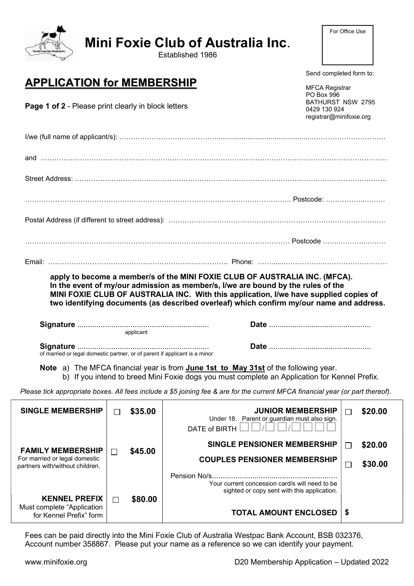|                                                                                                                                                                                                                                                                                                                                                      |               | <b>Mini Foxie Club of Australia Inc.</b><br>Established 1986                                                                                                                         |                         |  |  |
|------------------------------------------------------------------------------------------------------------------------------------------------------------------------------------------------------------------------------------------------------------------------------------------------------------------------------------------------------|---------------|--------------------------------------------------------------------------------------------------------------------------------------------------------------------------------------|-------------------------|--|--|
| <b>APPLICATION for MEMBERSHIP</b><br>Page 1 of 2 - Please print clearly in block letters                                                                                                                                                                                                                                                             |               | Send completed form to:<br><b>MFCA Registrar</b><br>PO Box 996                                                                                                                       | BATHURST NSW 2795       |  |  |
|                                                                                                                                                                                                                                                                                                                                                      |               | 0429 130 924<br>registrar@minifoxie.org                                                                                                                                              |                         |  |  |
|                                                                                                                                                                                                                                                                                                                                                      |               |                                                                                                                                                                                      |                         |  |  |
|                                                                                                                                                                                                                                                                                                                                                      |               |                                                                                                                                                                                      |                         |  |  |
|                                                                                                                                                                                                                                                                                                                                                      |               |                                                                                                                                                                                      |                         |  |  |
|                                                                                                                                                                                                                                                                                                                                                      |               |                                                                                                                                                                                      |                         |  |  |
|                                                                                                                                                                                                                                                                                                                                                      |               |                                                                                                                                                                                      |                         |  |  |
|                                                                                                                                                                                                                                                                                                                                                      |               |                                                                                                                                                                                      |                         |  |  |
|                                                                                                                                                                                                                                                                                                                                                      |               |                                                                                                                                                                                      |                         |  |  |
| apply to become a member/s of the MINI FOXIE CLUB OF AUSTRALIA INC. (MFCA).<br>In the event of my/our admission as member/s, I/we are bound by the rules of the<br>MINI FOXIE CLUB OF AUSTRALIA INC. With this application, I/we have supplied copies of<br>two identifying documents (as described overleaf) which confirm my/our name and address. |               |                                                                                                                                                                                      |                         |  |  |
| applicant<br>of married or legal domestic partner, or of parent if applicant is a minor                                                                                                                                                                                                                                                              |               |                                                                                                                                                                                      |                         |  |  |
|                                                                                                                                                                                                                                                                                                                                                      |               | Note a) The MFCA financial year is from June 1st to May 31st of the following year.<br>b) If you intend to breed Mini Foxie dogs you must complete an Application for Kennel Prefix. |                         |  |  |
|                                                                                                                                                                                                                                                                                                                                                      |               | Please tick appropriate boxes. All fees include a \$5 joining fee & are for the current MFCA financial year (or part thereof).                                                       |                         |  |  |
| <b>SINGLE MEMBERSHIP</b>                                                                                                                                                                                                                                                                                                                             | \$35.00<br>ΙI | <b>JUNIOR MEMBERSHIP</b><br>Under 18. Parent or guardian must also sign.<br>DATE of BIRTH                                                                                            | \$20.00<br>$\mathsf{L}$ |  |  |
| <b>FAMILY MEMBERSHIP</b>                                                                                                                                                                                                                                                                                                                             | \$45.00       | <b>SINGLE PENSIONER MEMBERSHIP</b>                                                                                                                                                   | \$20.00<br>$\mathsf{L}$ |  |  |
| For married or legal domestic<br>partners with/without children.                                                                                                                                                                                                                                                                                     | $\Box$        | <b>COUPLES PENSIONER MEMBERSHIP</b>                                                                                                                                                  | \$30.00<br>$\Box$       |  |  |
|                                                                                                                                                                                                                                                                                                                                                      |               | Your current concession card/s will need to be<br>sighted or copy sent with this application.                                                                                        |                         |  |  |
| <b>KENNEL PREFIX</b><br>Must complete "Application<br>for Kennel Prefix" form                                                                                                                                                                                                                                                                        | \$80.00<br>П  | <b>TOTAL AMOUNT ENCLOSED</b>                                                                                                                                                         | \$                      |  |  |
|                                                                                                                                                                                                                                                                                                                                                      |               |                                                                                                                                                                                      |                         |  |  |

Fees can be paid directly into the Mini Foxie Club of Australia Westpac Bank Account, BSB 032376, Account number 358867. Please put your name as a reference so we can identify your payment.

 $\mathbf{v}$ 

For Office Use